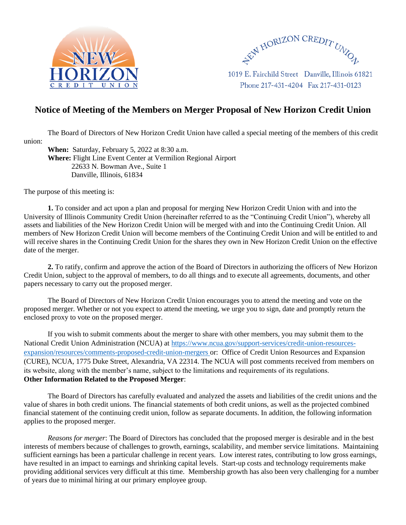



1019 E. Fairchild Street Danville, Illinois 61821 Phone 217-431-4204 Fax 217-431-0123

## **Notice of Meeting of the Members on Merger Proposal of New Horizon Credit Union**

The Board of Directors of New Horizon Credit Union have called a special meeting of the members of this credit union:

**When:** Saturday, February 5, 2022 at 8:30 a.m. **Where:** Flight Line Event Center at Vermilion Regional Airport 22633 N. Bowman Ave., Suite 1 Danville, Illinois, 61834

The purpose of this meeting is:

**1.** To consider and act upon a plan and proposal for merging New Horizon Credit Union with and into the University of Illinois Community Credit Union (hereinafter referred to as the "Continuing Credit Union"), whereby all assets and liabilities of the New Horizon Credit Union will be merged with and into the Continuing Credit Union. All members of New Horizon Credit Union will become members of the Continuing Credit Union and will be entitled to and will receive shares in the Continuing Credit Union for the shares they own in New Horizon Credit Union on the effective date of the merger.

**2.** To ratify, confirm and approve the action of the Board of Directors in authorizing the officers of New Horizon Credit Union, subject to the approval of members, to do all things and to execute all agreements, documents, and other papers necessary to carry out the proposed merger.

The Board of Directors of New Horizon Credit Union encourages you to attend the meeting and vote on the proposed merger. Whether or not you expect to attend the meeting, we urge you to sign, date and promptly return the enclosed proxy to vote on the proposed merger.

If you wish to submit comments about the merger to share with other members, you may submit them to the National Credit Union Administration (NCUA) at [https://www.ncua.gov/support-services/credit-union-resources](https://www.ncua.gov/support-services/credit-union-resources-expansion/resources/comments-proposed-credit-union-mergers)[expansion/resources/comments-proposed-credit-union-mergers](https://www.ncua.gov/support-services/credit-union-resources-expansion/resources/comments-proposed-credit-union-mergers) or: Office of Credit Union Resources and Expansion (CURE), NCUA, 1775 Duke Street, Alexandria, VA 22314. The NCUA will post comments received from members on its website, along with the member's name, subject to the limitations and requirements of its regulations. **Other Information Related to the Proposed Merger**:

The Board of Directors has carefully evaluated and analyzed the assets and liabilities of the credit unions and the value of shares in both credit unions. The financial statements of both credit unions, as well as the projected combined financial statement of the continuing credit union, follow as separate documents. In addition, the following information applies to the proposed merger.

*Reasons for merger*: The Board of Directors has concluded that the proposed merger is desirable and in the best interests of members because of challenges to growth, earnings, scalability, and member service limitations. Maintaining sufficient earnings has been a particular challenge in recent years. Low interest rates, contributing to low gross earnings, have resulted in an impact to earnings and shrinking capital levels. Start-up costs and technology requirements make providing additional services very difficult at this time. Membership growth has also been very challenging for a number of years due to minimal hiring at our primary employee group.